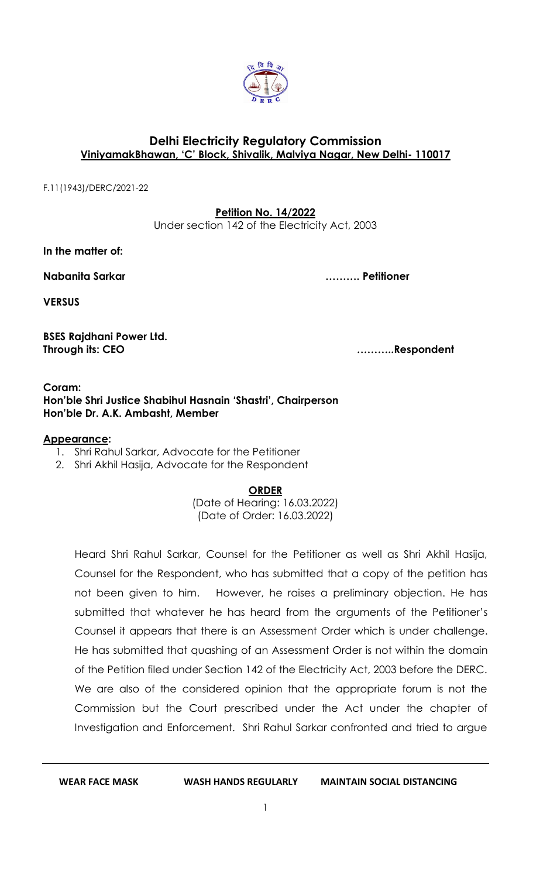

## **Delhi Electricity Regulatory Commission ViniyamakBhawan, 'C' Block, Shivalik, Malviya Nagar, New Delhi- 110017**

F.11(1943)/DERC/2021-22

## **Petition No. 14/2022**

Under section 142 of the Electricity Act, 2003

**In the matter of:**

**Nabanita Sarkar ………. Petitioner**

**VERSUS**

**BSES Rajdhani Power Ltd. Through its: CEO ………..Respondent**

## **Coram: Hon'ble Shri Justice Shabihul Hasnain 'Shastri', Chairperson Hon'ble Dr. A.K. Ambasht, Member**

## **Appearance:**

- 1. Shri Rahul Sarkar, Advocate for the Petitioner
- 2. Shri Akhil Hasija, Advocate for the Respondent

**ORDER**

(Date of Hearing: 16.03.2022) (Date of Order: 16.03.2022)

Heard Shri Rahul Sarkar, Counsel for the Petitioner as well as Shri Akhil Hasija, Counsel for the Respondent, who has submitted that a copy of the petition has not been given to him. However, he raises a preliminary objection. He has submitted that whatever he has heard from the arguments of the Petitioner's Counsel it appears that there is an Assessment Order which is under challenge. He has submitted that quashing of an Assessment Order is not within the domain of the Petition filed under Section 142 of the Electricity Act, 2003 before the DERC. We are also of the considered opinion that the appropriate forum is not the Commission but the Court prescribed under the Act under the chapter of Investigation and Enforcement. Shri Rahul Sarkar confronted and tried to argue

**WEAR FACE MASK WASH HANDS REGULARLY MAINTAIN SOCIAL DISTANCING**